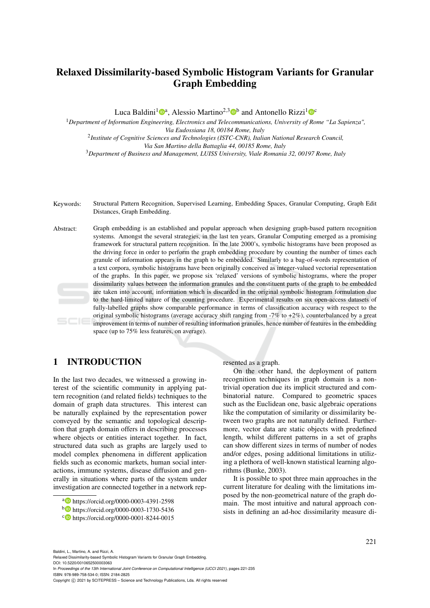# Relaxed Dissimilarity-based Symbolic Histogram Variants for Granular Graph Embedding

Luca Baldini<sup>1</sup><sup>®</sup>, Alessio Martino<sup>2,3</sup><sup>®</sup> and Antonello Rizzi<sup>1</sup><sup>®</sup>

<sup>1</sup>*Department of Information Engineering, Electronics and Telecommunications, University of Rome "La Sapienza", Via Eudossiana 18, 00184 Rome, Italy* 2 *Institute of Cognitive Sciences and Technologies (ISTC-CNR), Italian National Research Council, Via San Martino della Battaglia 44, 00185 Rome, Italy*

<sup>3</sup>*Department of Business and Management, LUISS University, Viale Romania 32, 00197 Rome, Italy*

- Keywords: Structural Pattern Recognition, Supervised Learning, Embedding Spaces, Granular Computing, Graph Edit Distances, Graph Embedding.
- Abstract: Graph embedding is an established and popular approach when designing graph-based pattern recognition systems. Amongst the several strategies, in the last ten years, Granular Computing emerged as a promising framework for structural pattern recognition. In the late 2000's, symbolic histograms have been proposed as the driving force in order to perform the graph embedding procedure by counting the number of times each granule of information appears in the graph to be embedded. Similarly to a bag-of-words representation of a text corpora, symbolic histograms have been originally conceived as integer-valued vectorial representation of the graphs. In this paper, we propose six 'relaxed' versions of symbolic histograms, where the proper dissimilarity values between the information granules and the constituent parts of the graph to be embedded are taken into account, information which is discarded in the original symbolic histogram formulation due to the hard-limited nature of the counting procedure. Experimental results on six open-access datasets of fully-labelled graphs show comparable performance in terms of classification accuracy with respect to the original symbolic histograms (average accuracy shift ranging from -7% to +2%), counterbalanced by a great improvement in terms of number of resulting information granules, hence number of features in the embedding space (up to 75% less features, on average).

# 1 INTRODUCTION

In the last two decades, we witnessed a growing interest of the scientific community in applying pattern recognition (and related fields) techniques to the domain of graph data structures. This interest can be naturally explained by the representation power conveyed by the semantic and topological description that graph domain offers in describing processes where objects or entities interact together. In fact, structured data such as graphs are largely used to model complex phenomena in different application fields such as economic markets, human social interactions, immune systems, disease diffusion and generally in situations where parts of the system under investigation are connected together in a network represented as a graph.

On the other hand, the deployment of pattern recognition techniques in graph domain is a nontrivial operation due its implicit structured and combinatorial nature. Compared to geometric spaces such as the Euclidean one, basic algebraic operations like the computation of similarity or dissimilarity between two graphs are not naturally defined. Furthermore, vector data are static objects with predefined length, whilst different patterns in a set of graphs can show different sizes in terms of number of nodes and/or edges, posing additional limitations in utilizing a plethora of well-known statistical learning algorithms (Bunke, 2003).

It is possible to spot three main approaches in the current literature for dealing with the limitations imposed by the non-geometrical nature of the graph domain. The most intuitive and natural approach consists in defining an ad-hoc dissimilarity measure di-

Relaxed Dissimilarity-based Symbolic Histogram Variants for Granular Graph Embedding. DOI: 10.5220/0010652500003063

In *Proceedings of the 13th International Joint Conference on Computational Intelligence (IJCCI 2021)*, pages 221-235 ISBN: 978-989-758-534-0; ISSN: 2184-2825

a https://orcid.org/0000-0003-4391-2598

<sup>b</sup> https://orcid.org/0000-0003-1730-5436

<sup>c</sup> https://orcid.org/0000-0001-8244-0015

Copyright (C) 2021 by SCITEPRESS - Science and Technology Publications, Lda. All rights reserved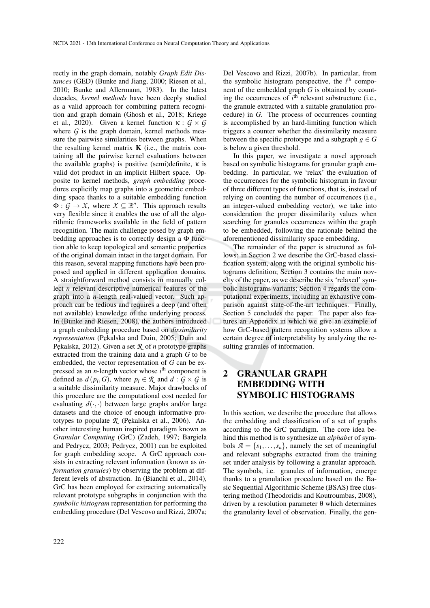rectly in the graph domain, notably *Graph Edit Distances* (GED) (Bunke and Jiang, 2000; Riesen et al., 2010; Bunke and Allermann, 1983). In the latest decades, *kernel methods* have been deeply studied as a valid approach for combining pattern recognition and graph domain (Ghosh et al., 2018; Kriege et al., 2020). Given a kernel function  $\kappa : G \times G$ where  $G$  is the graph domain, kernel methods measure the pairwise similarities between graphs. When the resulting kernel matrix  $\bf{K}$  (i.e., the matrix containing all the pairwise kernel evaluations between the available graphs) is positive (semi)definite,  $\kappa$  is valid dot product in an implicit Hilbert space. Opposite to kernel methods, *graph embedding* procedures explicitly map graphs into a geometric embedding space thanks to a suitable embedding function  $\Phi: \mathcal{G} \to \mathcal{X}$ , where  $\mathcal{X} \subseteq \mathbb{R}^n$ . This approach results very flexible since it enables the use of all the algorithmic frameworks available in the field of pattern recognition. The main challenge posed by graph embedding approaches is to correctly design a  $\Phi$  function able to keep topological and semantic properties of the original domain intact in the target domain. For this reason, several mapping functions have been proposed and applied in different application domains. A straightforward method consists in manually collect *n* relevant descriptive numerical features of the graph into a *n*-length real-valued vector. Such approach can be tedious and requires a deep (and often not available) knowledge of the underlying process. In (Bunke and Riesen, 2008), the authors introduced a graph embedding procedure based on *dissimilarity representation* (Pekalska and Duin, 2005; Duin and Pekalska, 2012). Given a set *R* of *n* prototype graphs extracted from the training data and a graph *G* to be embedded, the vector representation of *G* can be expressed as an *n*-length vector whose *i*<sup>th</sup> component is defined as  $d(p_i, G)$ , where  $p_i \in \mathcal{R}$  and  $d : G \times G$  is a suitable dissimilarity measure. Major drawbacks of this procedure are the computational cost needed for evaluating  $d(\cdot, \cdot)$  between large graphs and/or large datasets and the choice of enough informative prototypes to populate *R* (Pękalska et al., 2006). Another interesting human inspired paradigm known as *Granular Computing* (GrC) (Zadeh, 1997; Bargiela and Pedrycz, 2003; Pedrycz, 2001) can be exploited for graph embedding scope. A GrC approach consists in extracting relevant information (known as *information granules*) by observing the problem at different levels of abstraction. In (Bianchi et al., 2014), GrC has been employed for extracting automatically relevant prototype subgraphs in conjunction with the *symbolic histogram* representation for performing the embedding procedure (Del Vescovo and Rizzi, 2007a;

Del Vescovo and Rizzi, 2007b). In particular, from the symbolic histogram perspective, the  $i<sup>th</sup>$  component of the embedded graph *G* is obtained by counting the occurrences of  $i<sup>th</sup>$  relevant substructure (i.e., the granule extracted with a suitable granulation procedure) in *G*. The process of occurrences counting is accomplished by an hard-limiting function which triggers a counter whether the dissimilarity measure between the specific prototype and a subgraph  $g \in G$ is below a given threshold.

In this paper, we investigate a novel approach based on symbolic histograms for granular graph embedding. In particular, we 'relax' the evaluation of the occurrences for the symbolic histogram in favour of three different types of functions, that is, instead of relying on counting the number of occurrences (i.e., an integer-valued embedding vector), we take into consideration the proper dissimilarity values when searching for granules occurrences within the graph to be embedded, following the rationale behind the aforementioned dissimilarity space embedding.

The remainder of the paper is structured as follows: in Section 2 we describe the GrC-based classification system, along with the original symbolic histograms definition; Section 3 contains the main novelty of the paper, as we describe the six 'relaxed' symbolic histograms variants; Section 4 regards the computational experiments, including an exhaustive comparison against state-of-the-art techniques. Finally, Section 5 concludes the paper. The paper also features an Appendix in which we give an example of how GrC-based pattern recognition systems allow a certain degree of interpretability by analyzing the resulting granules of information.

# 2 GRANULAR GRAPH EMBEDDING WITH SYMBOLIC HISTOGRAMS

In this section, we describe the procedure that allows the embedding and classification of a set of graphs according to the GrC paradigm. The core idea behind this method is to synthesize an *alphabet* of symbols  $A = \{s_1, \ldots, s_n\}$ , namely the set of meaningful and relevant subgraphs extracted from the training set under analysis by following a granular approach. The symbols, i.e. granules of information, emerge thanks to a granulation procedure based on the Basic Sequential Algorithmic Scheme (BSAS) free clustering method (Theodoridis and Koutroumbas, 2008), driven by a resolution parameter θ which determines the granularity level of observation. Finally, the gen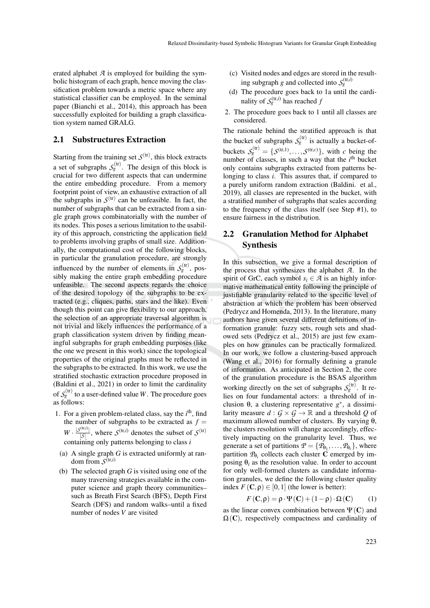erated alphabet *A* is employed for building the symbolic histogram of each graph, hence moving the classification problem towards a metric space where any statistical classifier can be employed. In the seminal paper (Bianchi et al., 2014), this approach has been successfully exploited for building a graph classification system named GRALG.

#### 2.1 Substructures Extraction

Starting from the training set  $S<sup>(tr)</sup>$ , this block extracts a set of subgraphs  $S_g^{(tr)}$ . The design of this block is crucial for two different aspects that can undermine the entire embedding procedure. From a memory footprint point of view, an exhaustive extraction of all the subgraphs in  $S^{(tr)}$  can be unfeasible. In fact, the number of subgraphs that can be extracted from a single graph grows combinatorially with the number of its nodes. This poses a serious limitation to the usability of this approach, constricting the application field to problems involving graphs of small size. Additionally, the computational cost of the following blocks, in particular the granulation procedure, are strongly influenced by the number of elements in  $S_g^{(tr)}$ , possibly making the entire graph embedding procedure unfeasible. The second aspects regards the choice of the desired topology of the subgraphs to be extracted (e.g., cliques, paths, stars and the like). Even though this point can give flexibility to our approach, the selection of an appropriate traversal algorithm is not trivial and likely influences the performance of a graph classification system driven by finding meaningful subgraphs for graph embedding purposes (like the one we present in this work) since the topological properties of the original graphs must be reflected in the subgraphs to be extracted. In this work, we use the stratified stochastic extraction procedure proposed in (Baldini et al., 2021) in order to limit the cardinality of  $S_{g}^{(\mathrm{tr})}$  to a user-defined value *W* . The procedure goes as follows:

- 1. For a given problem-related class, say the  $i<sup>th</sup>$ , find the number of subgraphs to be extracted as  $f =$  $W \cdot \frac{|\mathcal{S}^{(\text{tr},i)}|}{|\mathcal{S}|}$  $\frac{|S^{(t_1,t)}|}{|S|}$ , where  $S^{(t_1,t)}$  denotes the subset of  $S^{(t_1)}$ containing only patterns belonging to class *i*
- (a) A single graph *G* is extracted uniformly at random from  $S^{(tr,i)}$
- (b) The selected graph *G* is visited using one of the many traversing strategies available in the computer science and graph theory communities– such as Breath First Search (BFS), Depth First Search (DFS) and random walks–until a fixed number of nodes *V* are visited
- (c) Visited nodes and edges are stored in the resulting subgraph *g* and collected into  $S_g^{(tr,i)}$
- (d) The procedure goes back to 1a until the cardinality of  $S_g^{(tr,i)}$  has reached *f*
- 2. The procedure goes back to 1 until all classes are considered.

The rationale behind the stratified approach is that the bucket of subgraphs  $S_g^{(tr)}$  is actually a bucket-ofbuckets  $S_g^{(tr)} = \{S^{(tr,1)}, \ldots, S^{(tr,c)}\}$ , with *c* being the number of classes, in such a way that the  $i<sup>th</sup>$  bucket only contains subgraphs extracted from patterns belonging to class *i*. This assures that, if compared to a purely uniform random extraction (Baldini. et al., 2019), all classes are represented in the bucket, with a stratified number of subgraphs that scales according to the frequency of the class itself (see Step #1), to ensure fairness in the distribution.

# 2.2 Granulation Method for Alphabet Synthesis

In this subsection, we give a formal description of the process that synthesizes the alphabet *A*. In the spirit of GrC, each symbol  $s_i \in \mathcal{A}$  is an highly informative mathematical entity following the principle of justifiable granularity related to the specific level of abstraction at which the problem has been observed (Pedrycz and Homenda, 2013). In the literature, many authors have given several different definitions of information granule: fuzzy sets, rough sets and shadowed sets (Pedrycz et al., 2015) are just few examples on how granules can be practically formalized. In our work, we follow a clustering-based approach (Wang et al., 2016) for formally defining a granule of information. As anticipated in Section 2, the core of the granulation procedure is the BSAS algorithm working directly on the set of subgraphs  $S_g^{\text{(tr)}}$ . It relies on four fundamental actors: a threshold of inclusion θ, a clustering representative  $g^*$ , a dissimilarity measure  $d: G \times G \to \mathbb{R}$  and a threshold Q of maximum allowed number of clusters. By varying  $θ$ , the clusters resolution will change accordingly, effectively impacting on the granularity level. Thus, we generate a set of partitions  $\mathcal{P} = \{P_{\theta_1}, \ldots, P_{\theta_t}\}\,$ , where partition  $\mathcal{P}_{\theta_i}$  collects each cluster **C** emerged by imposing  $\theta_i$  as the resolution value. In order to account for only well-formed clusters as candidate information granules, we define the following cluster quality index  $F(\mathbf{C}, \rho) \in [0, 1]$  (the lower is better):

$$
F(\mathbf{C}, \rho) = \rho \cdot \Psi(\mathbf{C}) + (1 - \rho) \cdot \Omega(\mathbf{C}) \tag{1}
$$

as the linear convex combination between  $\Psi(C)$  and  $\Omega(C)$ , respectively compactness and cardinality of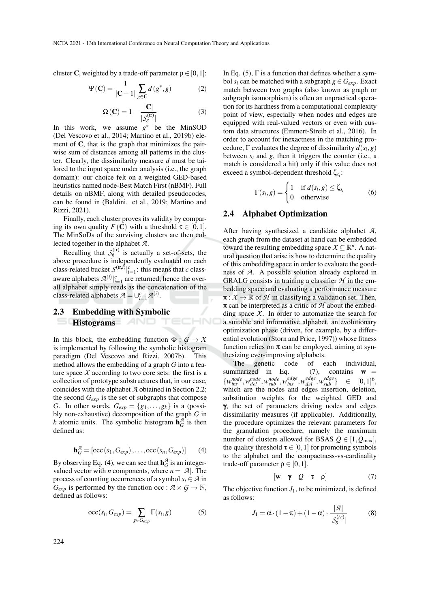cluster **C**, weighted by a trade-off parameter  $\rho \in [0,1]$ :

$$
\Psi(\mathbf{C}) = \frac{1}{|\mathbf{C} - 1|} \sum_{g \in \mathbf{C}} d(g^*, g) \tag{2}
$$

$$
\Omega\left(\mathbf{C}\right) = 1 - \frac{\left|\mathbf{C}\right|}{\left|\mathcal{S}_g^{\text{(tr)}}\right|} \tag{3}
$$

In this work, we assume  $g^*$  be the MinSOD (Del Vescovo et al., 2014; Martino et al., 2019b) element of  $C$ , that is the graph that minimizes the pairwise sum of distances among all patterns in the cluster. Clearly, the dissimilarity measure *d* must be tailored to the input space under analysis (i.e., the graph domain): our choice felt on a weighted GED-based heuristics named node-Best Match First (nBMF). Full details on nBMF, along with detailed pseudocodes, can be found in (Baldini. et al., 2019; Martino and Rizzi, 2021).

Finally, each cluster proves its validity by comparing its own quality  $F(\mathbf{C})$  with a threshold  $\tau \in [0,1]$ . The MinSoDs of the surviving clusters are then collected together in the alphabet *A*.

Recalling that  $S_g^{(tr)}$  is actually a set-of-sets, the above procedure is independently evaluated on each class-related bucket  $S^{(\text{tr},i)}|_{i=1}^c$ : this means that *c* classaware alphabets  $\mathcal{A}^{(i)}|_{i=1}^c$  are returned, hence the overall alphabet simply reads as the concatenation of the class-related alphabets  $\mathcal{A} = \cup_{i=1}^{c} \mathcal{A}^{(i)}$ .

ECHN

# 2.3 Embedding with Symbolic Histograms **AND**

In this block, the embedding function  $\Phi : G \to X$ is implemented by following the symbolic histogram paradigm (Del Vescovo and Rizzi, 2007b). This method allows the embedding of a graph *G* into a feature space  $X$  according to two core sets: the first is a collection of prototype substructures that, in our case, coincides with the alphabet *A* obtained in Section 2.2; the second *Gexp* is the set of subgraphs that compose *G*. In other words,  $G_{exp} = \{g_1, \ldots, g_k\}$  is a (possibly non-exhaustive) decomposition of the graph *G* in *k* atomic units. The symbolic histogram  $\mathbf{h}_{G}^{\mathcal{A}}$  is then defined as:

$$
\mathbf{h}_{G}^{\mathcal{A}} = [\text{occ}(s_1, G_{exp}), \dots, \text{occ}(s_n, G_{exp})] \qquad (4)
$$

By observing Eq. (4), we can see that  $\mathbf{h}_G^{\mathcal{A}}$  is an integervalued vector with *n* components, where  $n = |A|$ . The process of counting occurrences of a symbol  $s_i \in \mathcal{A}$  in  $G_{exp}$  is performed by the function occ :  $A \times G \rightarrow \mathbb{N}$ , defined as follows:

$$
\operatorname{occ}(s_i, G_{exp}) = \sum_{g \in G_{exp}} \Gamma(s_i, g) \tag{5}
$$

In Eq.  $(5)$ ,  $\Gamma$  is a function that defines whether a symbol  $s_i$  can be matched with a subgraph  $g \in G_{exp}$ . Exact match between two graphs (also known as graph or subgraph isomorphism) is often an unpractical operation for its hardness from a computational complexity point of view, especially when nodes and edges are equipped with real-valued vectors or even with custom data structures (Emmert-Streib et al., 2016). In order to account for inexactness in the matching procedure,  $\Gamma$  evaluates the degree of dissimilarity  $d(s_i, g)$ between  $s_i$  and  $g$ , then it triggers the counter (i.e., a match is considered a hit) only if this value does not exceed a symbol-dependent threshold ζ*s<sup>i</sup>* :

$$
\Gamma(s_i, g) = \begin{cases} 1 & \text{if } d(s_i, g) \le \zeta_{s_i} \\ 0 & \text{otherwise} \end{cases}
$$
 (6)

#### 2.4 Alphabet Optimization

After having synthesized a candidate alphabet *A*, each graph from the dataset at hand can be embedded toward the resulting embedding space  $X \subseteq \mathbb{R}^n$ . A natural question that arise is how to determine the quality of this embedding space in order to evaluate the goodness of *A*. A possible solution already explored in GRALG consists in training a classifier  $H$  in the embedding space and evaluating a performance measure  $\pi: X \to \mathbb{R}$  of  $H$  in classifying a validation set. Then, π can be interpreted as a critic of *H* about the embedding space  $X$ . In order to automatize the search for a suitable and informative alphabet, an evolutionary optimization phase (driven, for example, by a differential evolution (Storn and Price, 1997)) whose fitness function relies on  $\pi$  can be employed, aiming at synthesizing ever-improving alphabets.

The genetic code of each individual, summarized in Eq.  $(7)$ , contains  $w =$  $\{w_{ins}^{node}, w_{del}^{node}, w_{sub}^{node}, w_{ins}^{edge}, w_{del}^{edge}, w_{sub}^{edge}\}$  $\begin{array}{lll} e^{edge} \\ \hline \end{array}$   $\in [0,1]^{6}$ , which are the nodes and edges insertion, deletion, substitution weights for the weighted GED and γ, the set of parameters driving nodes and edges dissimilarity measures (if applicable). Additionally, the procedure optimizes the relevant parameters for the granulation procedure, namely the maximum number of clusters allowed for BSAS  $Q \in [1, Q_{\text{max}}]$ , the quality threshold  $\tau \in [0,1]$  for promoting symbols to the alphabet and the compactness-vs-cardinality trade-off parameter  $\rho \in [0,1]$ .

$$
[\mathbf{w} \quad \mathbf{\gamma} \quad \mathcal{Q} \quad \tau \quad \rho] \tag{7}
$$

The objective function  $J_1$ , to be minimized, is defined as follows:

$$
J_1 = \alpha \cdot (1 - \pi) + (1 - \alpha) \cdot \frac{|\mathcal{A}|}{|\mathcal{S}_g^{(tr)}|}
$$
(8)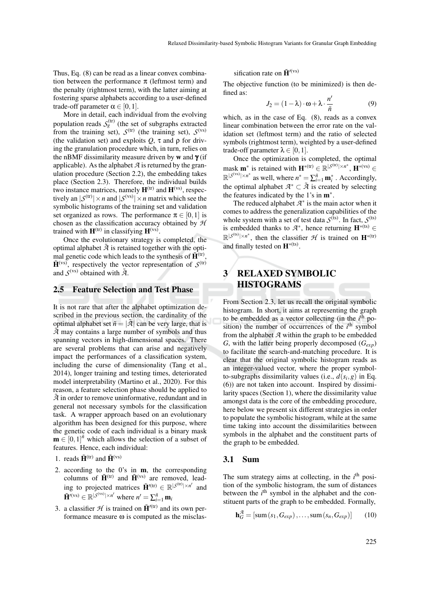Thus, Eq. (8) can be read as a linear convex combination between the performance  $\pi$  (leftmost term) and the penalty (rightmost term), with the latter aiming at fostering sparse alphabets according to a user-defined trade-off parameter  $\alpha \in [0,1]$ .

More in detail, each individual from the evolving population reads  $S_g^{\text{(tr)}}$  (the set of subgraphs extracted from the training set),  $S^{(tr)}$  (the training set),  $S^{(vs)}$ (the validation set) and exploits  $Q$ ,  $\tau$  and  $\rho$  for driving the granulation procedure which, in turn, relies on the nBMF dissimilarity measure driven by w and  $\gamma$  (if applicable). As the alphabet  $A$  is returned by the granulation procedure (Section 2.2), the embedding takes place (Section 2.3). Therefore, the individual builds two instance matrices, namely  $H^{(tr)}$  and  $H^{(vs)}$ , respectively an  $|\mathcal{S}^{(tr)}| \times n$  and  $|\mathcal{S}^{(vs)}| \times n$  matrix which see the symbolic histograms of the training set and validation set organized as rows. The performance  $\pi \in [0,1]$  is chosen as the classification accuracy obtained by *H* trained with  $\mathbf{H}^{(tr)}$  in classifying  $\mathbf{H}^{(vs)}$ .

Once the evolutionary strategy is completed, the optimal alphabet  $\tilde{A}$  is retained together with the optimal genetic code which leads to the synthesis of  $\tilde{H}^{(tr)}$ ,  $\tilde{H}^{(vs)}$ , respectively the vector representation of  $S^{(tr)}$ and  $S^{(vs)}$  obtained with  $\tilde{A}$ .

#### 2.5 Feature Selection and Test Phase

It is not rare that after the alphabet optimization described in the previous section, the cardinality of the optimal alphabet set  $\tilde{n} = |\tilde{A}|$  can be very large, that is *A*˜ may contains a large number of symbols and thus spanning vectors in high-dimensional spaces. There are several problems that can arise and negatively impact the performances of a classification system, including the curse of dimensionality (Tang et al., 2014), longer training and testing times, deteriorated model interpretability (Martino et al., 2020). For this reason, a feature selection phase should be applied to  $\tilde{A}$  in order to remove uninformative, redundant and in general not necessary symbols for the classification task. A wrapper approach based on an evolutionary algorithm has been designed for this purpose, where the genetic code of each individual is a binary mask  $\mathbf{m} \in [0,1]^{\tilde{n}}$  which allows the selection of a subset of features. Hence, each individual:

- 1. reads  $\tilde{\mathbf{H}}^{(tr)}$  and  $\tilde{\mathbf{H}}^{(vs)}$
- 2. according to the 0's in m, the corresponding columns of  $\tilde{H}^{(tr)}$  and  $\tilde{H}^{(vs)}$  are removed, leading to projected matrices  $\tilde{\mathbf{H}}^{\prime(\text{tr})} \in \mathbb{R}^{|\mathcal{S}^{(\text{tr})}| \times n'}$  and  $\tilde{\mathbf{H}}^{\prime(\text{vs})} \in \mathbb{R}^{|\mathcal{S}^{(\text{vs})}| \times n'}$  where  $n' = \sum_{i=1}^{\tilde{n}} \mathbf{m}_i$
- 3. a classifier  $H$  is trained on  $\tilde{H}^{\prime(\text{tr})}$  and its own performance measure ω is computed as the misclas-

sification rate on  $\tilde{H}^{\prime(vs)}$ 

The objective function (to be minimized) is then defined as:

$$
J_2 = (1 - \lambda) \cdot \omega + \lambda \cdot \frac{n'}{\tilde{n}} \tag{9}
$$

which, as in the case of Eq. (8), reads as a convex linear combination between the error rate on the validation set (leftmost term) and the ratio of selected symbols (rightmost term), weighted by a user-defined trade-off parameter  $\lambda \in [0,1]$ .

Once the optimization is completed, the optimal mask **m**<sup>\*</sup> is retained with  $\mathbf{H}^{*(tr)} \in \mathbb{R}^{|\mathcal{S}^{(tr)}| \times n^*}, \mathbf{H}^{*(vs)} \in$  $\mathbb{R}^{|\mathcal{S}^{(vs)}| \times n^*}$  as well, where  $n^* = \sum_{i=1}^{\tilde{n}} \mathbf{m}_i^*$  . Accordingly, the optimal alphabet  $A^* \subset \tilde{A}$  is created by selecting the features indicated by the 1's in m<sup>∗</sup> .

The reduced alphabet  $A^*$  is the main actor when it comes to address the generalization capabilities of the whole system with a set of test data  $S^{(ts)}$ . In fact,  $S^{(ts)}$ is embedded thanks to  $A^*$ , hence returning  $\mathbf{H}^{*(ts)}$  ∈  $\mathbb{R}^{|\mathcal{S}^{(ts)}| \times n^*}$ , then the classifier  $\mathcal{H}$  is trained on  $\mathbf{H}^{*(tr)}$ and finally tested on  $H^{*(ts)}$ .

# 3 RELAXED SYMBOLIC HISTOGRAMS

From Section 2.3, let us recall the original symbolic histogram. In short, it aims at representing the graph to be embedded as a vector collecting (in the *i*<sup>th</sup> position) the number of occurrences of the  $i<sup>th</sup>$  symbol from the alphabet *A* within the graph to be embedded *G*, with the latter being properly decomposed (*Gexp*) to facilitate the search-and-matching procedure. It is clear that the original symbolic histogram reads as an integer-valued vector, where the proper symbolto-subgraphs dissimilarity values (i.e.,  $d(s_i, g)$  in Eq. (6)) are not taken into account. Inspired by dissimilarity spaces (Section 1), where the dissimilarity value amongst data is the core of the embedding procedure, here below we present six different strategies in order to populate the symbolic histogram, while at the same time taking into account the dissimilarities between symbols in the alphabet and the constituent parts of the graph to be embedded.

#### 3.1 Sum

The sum strategy aims at collecting, in the  $i<sup>th</sup>$  position of the symbolic histogram, the sum of distances between the  $i<sup>th</sup>$  symbol in the alphabet and the constituent parts of the graph to be embedded. Formally,

$$
\mathbf{h}_G^{\mathcal{A}} = \left[ \text{sum}\left( s_1, G_{exp} \right), \dots, \text{sum}\left( s_n, G_{exp} \right) \right] \tag{10}
$$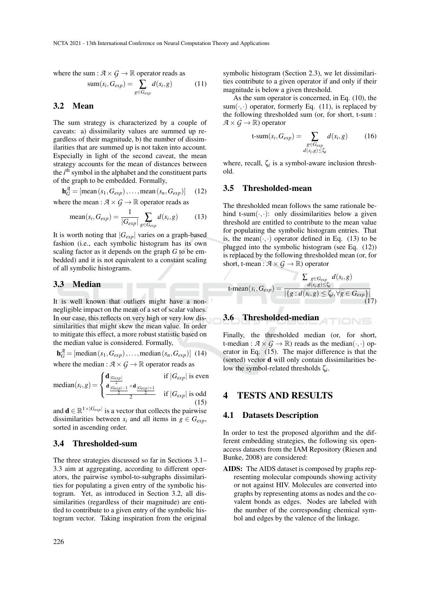where the sum :  $A \times G \rightarrow \mathbb{R}$  operator reads as

$$
sum(s_i, G_{exp}) = \sum_{g \in G_{exp}} d(s_i, g) \tag{11}
$$

## 3.2 Mean

The sum strategy is characterized by a couple of caveats: a) dissimilarity values are summed up regardless of their magnitude, b) the number of dissimilarities that are summed up is not taken into account. Especially in light of the second caveat, the mean strategy accounts for the mean of distances between the *i*<sup>th</sup> symbol in the alphabet and the constituent parts of the graph to be embedded. Formally,

$$
\mathbf{h}_G^{\mathcal{A}} = [\text{mean}(s_1, G_{exp}), \dots, \text{mean}(s_n, G_{exp})] \quad (12)
$$
  
where the mean :  $\mathcal{A} \times G \to \mathbb{R}$  operator reads as

where the mean :  $A \times G \rightarrow \mathbb{R}$  operator reads as

mean
$$
(s_i, G_{exp}) = \frac{1}{|G_{exp}|} \sum_{g \in G_{exp}} d(s_i, g)
$$
 (13)

It is worth noting that  $|G_{exp}|$  varies on a graph-based fashion (i.e., each symbolic histogram has its own scaling factor as it depends on the graph *G* to be embedded) and it is not equivalent to a constant scaling of all symbolic histograms.

#### 3.3 Median

It is well known that outliers might have a nonnegligible impact on the mean of a set of scalar values. In our case, this reflects on very high or very low dissimilarities that might skew the mean value. In order to mitigate this effect, a more robust statistic based on the median value is considered. Formally,

 $\mathbf{h}_G^{\mathcal{A}} =$  [median (*s*<sub>1</sub>, *G*<sub>*exp*</sub>),...,median (*s*<sub>*n*</sub>, *G*<sub>*exp*</sub>)] (14) where the median :  $A \times G \rightarrow \mathbb{R}$  operator reads as

 $median(s_i, g) =$  $\sqrt{ }$  $\int$  $\mathcal{L}$  $\frac{d}{2}$  is even d <sup>|</sup>*Gexp*|−<sup>1</sup> 2 +d <sup>|</sup>*Gexp*|+<sup>1</sup> 2 2 if |*Gexp*| is odd (15)

and  $\mathbf{d} \in \mathbb{R}^{1 \times |G_{exp}|}$  is a vector that collects the pairwise dissimilarities between  $s_i$  and all items in  $g \in G_{exp}$ , sorted in ascending order.

#### 3.4 Thresholded-sum

The three strategies discussed so far in Sections 3.1– 3.3 aim at aggregating, according to different operators, the pairwise symbol-to-subgraphs dissimilarities for populating a given entry of the symbolic histogram. Yet, as introduced in Section 3.2, all dissimilarities (regardless of their magnitude) are entitled to contribute to a given entry of the symbolic histogram vector. Taking inspiration from the original symbolic histogram (Section 2.3), we let dissimilarities contribute to a given operator if and only if their magnitude is below a given threshold.

As the sum operator is concerned, in Eq. (10), the sum( $\cdot$ , $\cdot$ ) operator, formerly Eq. (11), is replaced by the following thresholded sum (or, for short, t-sum :  $A \times G \rightarrow \mathbb{R}$ ) operator

$$
\text{t-sum}(s_i, G_{exp}) = \sum_{\substack{g \in G_{exp} \\ d(s_i, g) \le \zeta_i}} d(s_i, g) \tag{16}
$$

where, recall,  $\zeta_i$  is a symbol-aware inclusion threshold.

#### 3.5 Thresholded-mean

The thresholded mean follows the same rationale behind t-sum $(\cdot, \cdot)$ : only dissimilarities below a given threshold are entitled to contribute to the mean value for populating the symbolic histogram entries. That is, the mean $(\cdot, \cdot)$  operator defined in Eq. (13) to be plugged into the symbolic histogram (see Eq. (12)) is replaced by the following thresholded mean (or, for short, t-mean :  $\mathcal{A} \times \mathcal{G} \to \mathbb{R}$ ) operator

$$
\text{t-mean}(s_i, G_{exp}) = \frac{\sum_{g \in G_{exp}} d(s_i, g)}{|\{g : d(s_i, g) \le \zeta_i, \forall g \in G_{exp}\}|}
$$
(17)

# 3.6 Thresholded-median

Finally, the thresholded median (or, for short, t-median :  $A \times G \to \mathbb{R}$ ) reads as the median( $\cdot, \cdot$ ) operator in Eq. (15). The major difference is that the (sorted) vector d will only contain dissimilarities below the symbol-related thresholds ζ*<sup>i</sup>* .

#### **TESTS AND RESULTS**

#### 4.1 Datasets Description

In order to test the proposed algorithm and the different embedding strategies, the following six openaccess datasets from the IAM Repository (Riesen and Bunke, 2008) are considered:

AIDS: The AIDS dataset is composed by graphs representing molecular compounds showing activity or not against HIV. Molecules are converted into graphs by representing atoms as nodes and the covalent bonds as edges. Nodes are labeled with the number of the corresponding chemical symbol and edges by the valence of the linkage.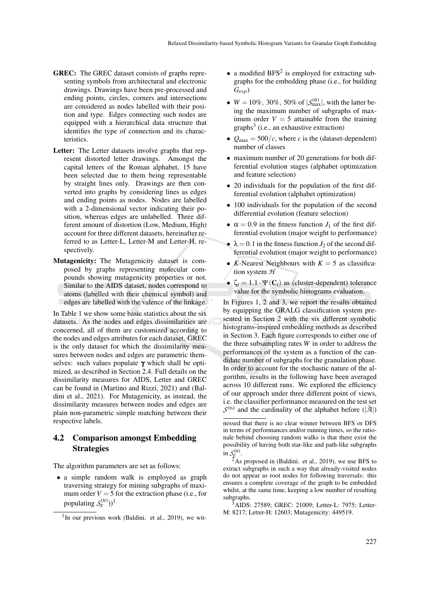- GREC: The GREC dataset consists of graphs representing symbols from architectural and electronic drawings. Drawings have been pre-processed and ending points, circles, corners and intersections are considered as nodes labelled with their position and type. Edges connecting such nodes are equipped with a hierarchical data structure that identifies the type of connection and its characteristics.
- Letter: The Letter datasets involve graphs that represent distorted letter drawings. Amongst the capital letters of the Roman alphabet, 15 have been selected due to them being representable by straight lines only. Drawings are then converted into graphs by considering lines as edges and ending points as nodes. Nodes are labelled with a 2-dimensional vector indicating their position, whereas edges are unlabelled. Three different amount of distortion (Low, Medium, High) account for three different datasets, hereinafter referred to as Letter-L, Letter-M and Letter-H, respectively.
- Mutagenicity: The Mutagenicity dataset is composed by graphs representing molecular compounds showing mutagenicity properties or not. Similar to the AIDS dataset, nodes correspond to atoms (labelled with their chemical symbol) and edges are labelled with the valence of the linkage.

In Table 1 we show some basic statistics about the six datasets. As the nodes and edges dissimilarities are concerned, all of them are customized according to the nodes and edges attributes for each dataset. GREC is the only dataset for which the dissimilarity measures between nodes and edges are parametric themselves: such values populate  $\gamma$  which shall be optimized, as described in Section 2.4. Full details on the dissimilarity measures for AIDS, Letter and GREC can be found in (Martino and Rizzi, 2021) and (Baldini et al., 2021). For Mutagenicity, as instead, the dissimilarity measures between nodes and edges are plain non-parametric simple matching between their respective labels.

# 4.2 Comparison amongst Embedding **Strategies**

The algorithm parameters are set as follows:

• a simple random walk is employed as graph traversing strategy for mining subgraphs of maximum order  $V = 5$  for the extraction phase (i.e., for populating  $S_g^{(tr)}$ ))<sup>1</sup>

- a modified  $BFS<sup>2</sup>$  is employed for extracting subgraphs for the embedding phase (i.e., for building *Gexp*)
- $W = 10\%, 30\%, 50\%$  of  $|\mathcal{S}_{\text{max}}^{(tr)}|$ , with the latter being the maximum number of subgraphs of maximum order  $V = 5$  attainable from the training  $graphs<sup>3</sup>$  (i.e., an exhaustive extraction)
- $Q_{\text{max}} = 500/c$ , where *c* is the (dataset-dependent) number of classes
- maximum number of 20 generations for both differential evolution stages (alphabet optimization and feature selection)
- 20 individuals for the population of the first differential evolution (alphabet optimization)
- 100 individuals for the population of the second differential evolution (feature selection)
- $\alpha = 0.9$  in the fitness function  $J_1$  of the first differential evolution (major weight to performance)
- $\lambda = 0.1$  in the fitness function *J*<sub>2</sub> of the second differential evolution (major weight to performance)
- *K*-Nearest Neighbours with  $K = 5$  as classification system *H*
- $\zeta_i = 1.1 \cdot \Psi(\mathbf{C}_i)$  as (cluster-dependent) tolerance value for the symbolic histograms evaluation.

In Figures 1, 2 and 3, we report the results obtained by equipping the GRALG classification system presented in Section 2 with the six different symbolic histograms-inspired embedding methods as described in Section 3. Each figure corresponds to either one of the three subsampling rates *W* in order to address the performances of the system as a function of the candidate number of subgraphs for the granulation phase. In order to account for the stochastic nature of the algorithm, results in the following have been averaged across 10 different runs. We explored the efficiency of our approach under three different point of views, i.e. the classifier performance measured on the test set  $S^{(ts)}$  and the cardinality of the alphabet before  $(|\tilde{A}|)$ 

<sup>&</sup>lt;sup>1</sup>In our previous work (Baldini. et al., 2019), we wit-

nessed that there is no clear winner between BFS or DFS in terms of performances and/or running times, so the rationale behind choosing random walks is that there exist the possibility of having both star-like and path-like subgraphs in  $S_g^{(tr)}$ .

 $\tilde{2}$ As proposed in (Baldini. et al., 2019), we use BFS to extract subgraphs in such a way that already-visited nodes do not appear as root nodes for following traversals: this ensures a complete coverage of the graph to be embedded whilst, at the same time, keeping a low number of resulting subgraphs.

<sup>3</sup>AIDS: 27589; GREC: 21009; Letter-L: 7975; Letter-M: 8217; Letter-H: 12603; Mutagenicity: 449519.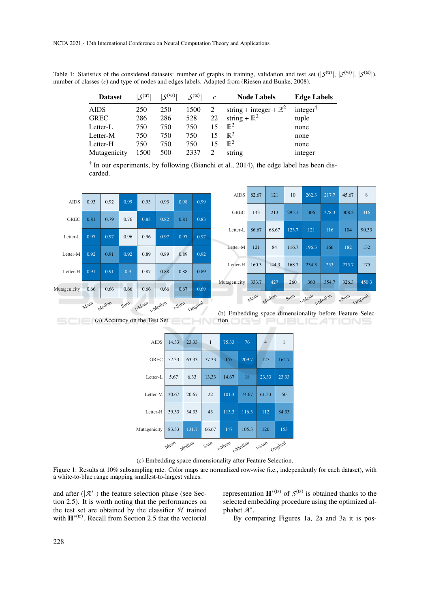Table 1: Statistics of the considered datasets: number of graphs in training, validation and test set  $(|S^{(tr)}|, |S^{(vs)}|, |S^{(ts)}|)$ , number of classes (*c*) and type of nodes and edges labels. Adapted from (Riesen and Bunke, 2008).

| <b>Dataset</b> | $\zeta$ <sup>(tr)</sup> | $S^{(vs)}$ | $\zeta$ (ts) | $\mathcal{C}$ | <b>Node Labels</b>                | <b>Edge Labels</b> |
|----------------|-------------------------|------------|--------------|---------------|-----------------------------------|--------------------|
| <b>AIDS</b>    | 250                     | 250        | 1500         |               | string + integer + $\mathbb{R}^2$ | integer $\bar{ }$  |
| <b>GREC</b>    | 286                     | 286        | 528          | 22            | string + $\mathbb{R}^2$           | tuple              |
| Letter-L       | 750                     | 750        | 750          | 15            | $\mathbb{R}^2$                    | none               |
| Letter-M       | 750                     | 750        | 750          | 15            | $\mathbb{R}^2$                    | none               |
| Letter-H       | 750                     | 750        | 750          | 15            | $\mathbb{R}^2$                    | none               |
| Mutagenicity   | 1500                    | 500        | 2337         |               | string                            | integer            |

† In our experiments, by following (Bianchi et al., 2014), the edge label has been discarded.

| <b>AIDS</b>  | 0.93 | 0.92   | 0.99 | 0.93            | 0.93 | 0.98           | 0.99 |
|--------------|------|--------|------|-----------------|------|----------------|------|
| <b>GREC</b>  | 0.81 | 0.79   | 0.76 | 0.83            | 0.82 | 0.81           | 0.83 |
| Letter-L     | 0.97 | 0.97   | 0.96 | 0.96            | 0.97 | 0.97           | 0.97 |
| Letter-M     | 0.92 | 0.91   | 0.92 | 0.89            | 0.89 | 0.89           | 0.92 |
| Letter-H     | 0.91 | 0.91   | 0.9  | 0.87            | 0.88 | 0.88           | 0.89 |
| Mutagenicity | 0.66 | 0.66   | 0.66 | 0.66            | 0.66 | 0.67           | 0.69 |
|              | Mean | Median | Sum  | t-Mean t-Median |      | t-Sum Original |      |

| <b>AIDS</b>                                                | 82.67 | 121   | 10    | 262.3 | 217.7 | 45.67 | 8     |  |  |  |
|------------------------------------------------------------|-------|-------|-------|-------|-------|-------|-------|--|--|--|
| <b>GREC</b>                                                | 143   | 213   | 295.7 | 306   | 378.3 | 308.3 | 316   |  |  |  |
| Letter-L                                                   | 86.67 | 68.67 | 123.7 | 121   | 116   | 104   | 90.33 |  |  |  |
| Letter-M                                                   | 121   | 84    | 116.7 | 196.3 | 166   | 182   | 132   |  |  |  |
| Letter-H                                                   | 160.3 | 144.3 | 168.7 | 234.3 | 253   | 275.7 | 175   |  |  |  |
| Mutagenicity                                               | 333.7 | 427   | 260   | 360   | 354.7 | 326.3 | 450.3 |  |  |  |
| t-Sum Original<br>Sum<br>t-Mean t-Median<br>Median<br>Mean |       |       |       |       |       |       |       |  |  |  |

**Example 2** (a) Accuracy on the Test Set. (b) Embedding space dimensionality before Feature Selec-**HNORDGY PUBLICATIONS** 

| <b>AIDS</b>  | 14.33 | 23.33  | $\mathbf{1}$ | 75.33           | 76    | $\overline{4}$ | 1     |
|--------------|-------|--------|--------------|-----------------|-------|----------------|-------|
| <b>GREC</b>  | 52.33 | 63.33  | 77.33        | 157             | 209.7 | 127            | 164.7 |
| Letter-L     | 5.67  | 6.33   | 13.33        | 14.67           | 18    | 23.33          | 23.33 |
| Letter-M     | 30.67 | 20.67  | 22           | 101.3           | 74.67 | 61.33          | 50    |
| Letter-H     | 39.33 | 34.33  | 43           | 113.3           | 116.3 | 112            | 84.33 |
| Mutagenicity | 83.33 | 131.7  | 66.67        | 147             | 105.3 | 120            | 153   |
|              | Mean  | Median | Sum          | t-Mean t-Median |       | t-Sum Original |       |

(c) Embedding space dimensionality after Feature Selection.

Figure 1: Results at 10% subsampling rate. Color maps are normalized row-wise (i.e., independently for each dataset), with a white-to-blue range mapping smallest-to-largest values.

and after  $(|A^*|)$  the feature selection phase (see Section 2.5). It is worth noting that the performances on the test set are obtained by the classifier *H* trained with  $\mathbf{H}^{*(tr)}$ . Recall from Section 2.5 that the vectorial

representation  $\mathbf{H}^{*(\text{ts})}$  of  $\mathcal{S}^{(\text{ts})}$  is obtained thanks to the selected embedding procedure using the optimized alphabet *A* ∗ .

By comparing Figures 1a, 2a and 3a it is pos-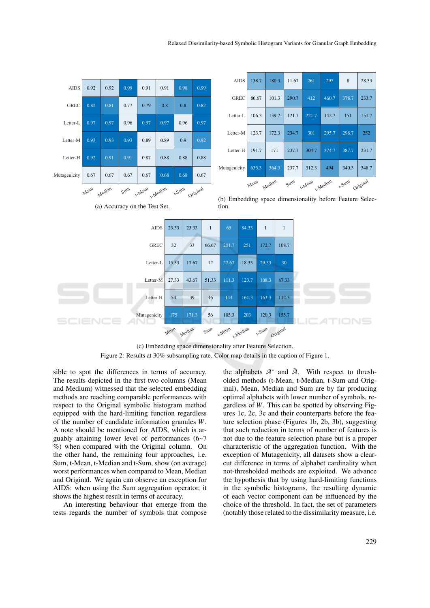| <b>AIDS</b>                                                                                                                                                 | 0.92                                                                                  | 0.92 | 0.99   | 0.91         | 0.91 | 0.98         | 0.99  |        |                                | <b>AIDS</b> | 138.7 | 180.3  |          | 11.67  | 261    | 297      | 8          | 28.33    |
|-------------------------------------------------------------------------------------------------------------------------------------------------------------|---------------------------------------------------------------------------------------|------|--------|--------------|------|--------------|-------|--------|--------------------------------|-------------|-------|--------|----------|--------|--------|----------|------------|----------|
|                                                                                                                                                             |                                                                                       |      |        |              |      |              |       |        |                                | <b>GREC</b> | 86.67 | 101.3  |          | 290.7  | 412    | 460.7    | 378.7      | 233.7    |
| <b>GREC</b>                                                                                                                                                 | 0.82                                                                                  | 0.81 | 0.77   | 0.79         | 0.8  | 0.8          | 0.82  |        | Letter-L                       |             | 106.3 | 139.7  |          | 121.7  | 221.7  | 142.7    | 151        | 151.7    |
| Letter-L                                                                                                                                                    | 0.97                                                                                  | 0.97 | 0.96   | 0.97         | 0.97 | 0.96         | 0.97  |        | Letter-M                       |             | 123.7 | 172.3  |          | 234.7  | 301    | 295.7    | 298.7      | 252      |
| Letter-M                                                                                                                                                    | 0.93                                                                                  | 0.93 | 0.93   | 0.89         | 0.89 | 0.9          | 0.92  |        |                                |             |       |        |          |        |        |          |            |          |
| Letter-H                                                                                                                                                    | 0.92                                                                                  | 0.91 | 0.91   | 0.87         | 0.88 | 0.88<br>0.88 |       |        | Letter-H                       |             | 191.7 | 171    |          | 237.7  | 304.7  | 374.7    | 387.7      | 231.7    |
| Mutagenicity                                                                                                                                                | 0.67                                                                                  | 0.67 | 0.67   | 0.67         | 0.68 | 0.68         | 0.67  |        | Mutagenicity                   |             | 633.3 | 564.3  |          | 237.7  | 312.3  | 494      | 340.3      | 348.7    |
|                                                                                                                                                             |                                                                                       |      | $5u$ m |              |      |              |       |        |                                |             | Mean  | Median |          | $5u$ m | t-Mean | t-Median | <b>Sum</b> | Original |
| t-Mean<br>Original<br>t-Median<br>Mean<br><b>Sum</b><br>Median<br>(b) Embedding space dimensionality before Feature Selec-<br>(a) Accuracy on the Test Set. |                                                                                       |      |        |              |      |              |       |        |                                |             |       |        |          |        |        |          |            |          |
|                                                                                                                                                             |                                                                                       |      |        |              |      |              |       |        | tion.                          |             |       |        |          |        |        |          |            |          |
|                                                                                                                                                             | 84.33<br><b>AIDS</b><br>23.33<br>23.33<br>$\mathbf{1}$<br>65<br>$1\,$<br>$\mathbf{1}$ |      |        |              |      |              |       |        |                                |             |       |        |          |        |        |          |            |          |
| <b>GREC</b>                                                                                                                                                 |                                                                                       |      |        |              |      | 32           | 33    | 66.67  | 201.7<br>251<br>108.7<br>172.7 |             |       |        |          |        |        |          |            |          |
| Letter-L                                                                                                                                                    |                                                                                       |      |        |              |      | 15.33        | 17.67 | 12     | 27.67                          | 18.33       |       | 29.33  | 30       |        |        |          |            |          |
|                                                                                                                                                             |                                                                                       |      |        | Letter-M     |      | 27.33        | 43.67 | 51.33  | 111.3                          | 123.7       |       | 108.3  | 87.33    |        |        |          |            |          |
|                                                                                                                                                             |                                                                                       |      |        | Letter-H     |      | 54           | 39    | 46     | 144                            | 161.3       |       | 163.3  | 112.3    |        |        |          |            |          |
|                                                                                                                                                             |                                                                                       |      |        | Mutagenicity |      | 175          | 171.3 | 56     | 105.3                          | 203         |       | 120.3  | 155.7    |        |        |          |            |          |
|                                                                                                                                                             |                                                                                       |      |        |              | Mean | Median       |       | $5u$ m | t-Mean<br>. Median             |             |       | t-Sum  | Original |        |        |          |            |          |

(c) Embedding space dimensionality after Feature Selection. Figure 2: Results at 30% subsampling rate. Color map details in the caption of Figure 1.

sible to spot the differences in terms of accuracy. The results depicted in the first two columns (Mean and Medium) witnessed that the selected embedding methods are reaching comparable performances with respect to the Original symbolic histogram method equipped with the hard-limiting function regardless of the number of candidate information granules *W*. A note should be mentioned for AIDS, which is arguably attaining lower level of performances (6~7 %) when compared with the Original column. On the other hand, the remaining four approaches, i.e. Sum, t-Mean, t-Median and t-Sum, show (on average) worst performances when compared to Mean, Median and Original. We again can observe an exception for AIDS: when using the Sum aggregation operator, it shows the highest result in terms of accuracy.

An interesting behaviour that emerge from the tests regards the number of symbols that compose

the alphabets  $A^*$  and  $\tilde{A}$ . With respect to thresholded methods (t-Mean, t-Median, t-Sum and Original), Mean, Median and Sum are by far producing optimal alphabets with lower number of symbols, regardless of *W*. This can be spotted by observing Figures 1c, 2c, 3c and their counterparts before the feature selection phase (Figures 1b, 2b, 3b), suggesting that such reduction in terms of number of features is not due to the feature selection phase but is a proper characteristic of the aggregation function. With the exception of Mutagenicity, all datasets show a clearcut difference in terms of alphabet cardinality when not-thresholded methods are exploited. We advance the hypothesis that by using hard-limiting functions in the symbolic histograms, the resulting dynamic of each vector component can be influenced by the choice of the threshold. In fact, the set of parameters (notably those related to the dissimilarity measure, i.e.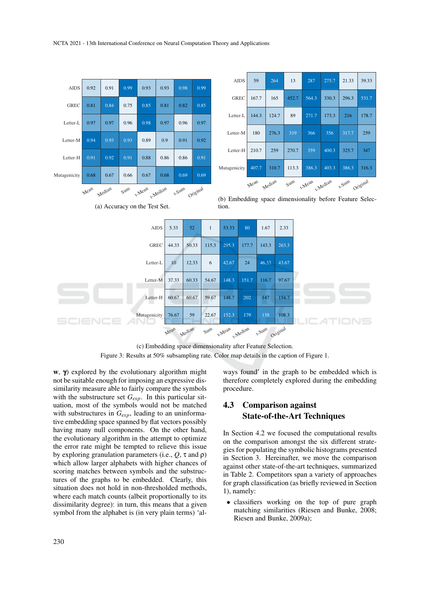

(c) Embedding space dimensionality after Feature Selection. Figure 3: Results at 50% subsampling rate. Color map details in the caption of Figure 1.

w,  $\gamma$ ) explored by the evolutionary algorithm might not be suitable enough for imposing an expressive dissimilarity measure able to fairly compare the symbols with the substructure set *Gexp*. In this particular situation, most of the symbols would not be matched with substructures in *Gexp*, leading to an uninformative embedding space spanned by flat vectors possibly having many null components. On the other hand, the evolutionary algorithm in the attempt to optimize the error rate might be tempted to relieve this issue by exploring granulation parameters (i.e., *Q*, τ and ρ) which allow larger alphabets with higher chances of scoring matches between symbols and the substructures of the graphs to be embedded. Clearly, this situation does not hold in non-thresholded methods, where each match counts (albeit proportionally to its dissimilarity degree): in turn, this means that a given symbol from the alphabet is (in very plain terms) 'always found' in the graph to be embedded which is therefore completely explored during the embedding procedure.

# 4.3 Comparison against State-of-the-Art Techniques

In Section 4.2 we focused the computational results on the comparison amongst the six different strategies for populating the symbolic histograms presented in Section 3. Hereinafter, we move the comparison against other state-of-the-art techniques, summarized in Table 2. Competitors span a variety of approaches for graph classification (as briefly reviewed in Section 1), namely:

• classifiers working on the top of pure graph matching similarities (Riesen and Bunke, 2008; Riesen and Bunke, 2009a);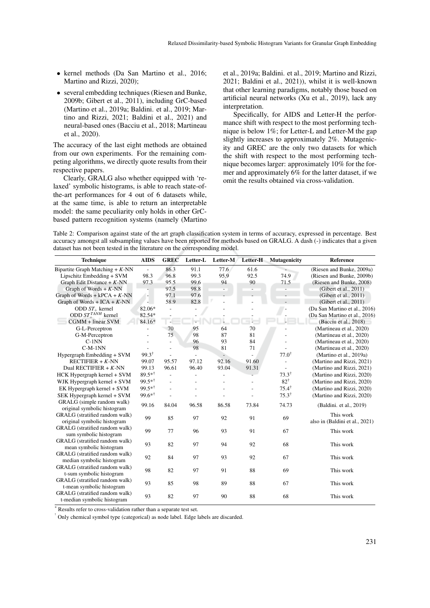- kernel methods (Da San Martino et al., 2016; Martino and Rizzi, 2020);
- several embedding techniques (Riesen and Bunke, 2009b; Gibert et al., 2011), including GrC-based (Martino et al., 2019a; Baldini. et al., 2019; Martino and Rizzi, 2021; Baldini et al., 2021) and neural-based ones (Bacciu et al., 2018; Martineau et al., 2020).

The accuracy of the last eight methods are obtained from our own experiments. For the remaining competing algorithms, we directly quote results from their respective papers.

Clearly, GRALG also whether equipped with 'relaxed' symbolic histograms, is able to reach state-ofthe-art performances for 4 out of 6 datasets while, at the same time, is able to return an interpretable model: the same peculiarity only holds in other GrCbased pattern recognition systems (namely (Martino et al., 2019a; Baldini. et al., 2019; Martino and Rizzi, 2021; Baldini et al., 2021)), whilst it is well-known that other learning paradigms, notably those based on artificial neural networks (Xu et al., 2019), lack any interpretation.

Specifically, for AIDS and Letter-H the performance shift with respect to the most performing technique is below 1%; for Letter-L and Letter-M the gap slightly increases to approximately 2%. Mutagenicity and GREC are the only two datasets for which the shift with respect to the most performing technique becomes larger: approximately 10% for the former and approximately 6% for the latter dataset, if we omit the results obtained via cross-validation.

Table 2: Comparison against state of the art graph classification system in terms of accuracy, expressed in percentage. Best accuracy amongst all subsampling values have been reported for methods based on GRALG. A dash (-) indicates that a given dataset has not been tested in the literature on the corresponding model.

| <b>Technique</b>                                              | <b>AIDS</b>              | <b>GREC</b>    | Letter-L       | Letter-M                 | Letter-H | <b>Mutagenicity</b> | Reference                                   |
|---------------------------------------------------------------|--------------------------|----------------|----------------|--------------------------|----------|---------------------|---------------------------------------------|
| Bipartite Graph Matching $+ K$ -NN                            | $\overline{\phantom{a}}$ | 86.3           | 91.1           | 77.6                     | 61.6     |                     | (Riesen and Bunke, 2009a)                   |
| Lipschitz Embedding + SVM                                     | 98.3                     | 96.8           | 99.3           | 95.9                     | 92.5     | 74.9                | (Riesen and Bunke, 2009b)                   |
| Graph Edit Distance + $K$ -NN                                 | 97.3                     | 95.5           | 99.6           | 94                       | 90       | 71.5                | (Riesen and Bunke, 2008)                    |
| Graph of Words $+ K$ -NN                                      |                          | 97.5           | 98.8           | $\overline{\phantom{a}}$ |          |                     | (Gibert et al., 2011)                       |
| Graph of Words + $kPCA + K-NN$                                | $\overline{\phantom{a}}$ | 97.1           | 97.6           |                          |          |                     | (Gibert et al., 2011)                       |
| Graph of Words + ICA + $K$ -NN                                | - 1                      | 58.9           | 82.8           |                          |          |                     | (Gibert et al., $2011$ )                    |
| ODD $ST_+$ kernel                                             | 82.06*                   | $\overline{a}$ |                |                          |          | ÷                   | (Da San Martino et al., 2016)               |
| ODD $ST_{+}^{TANH}$ kernel                                    | 82.54*                   |                |                |                          |          |                     | (Da San Martino et al., 2016)               |
| $CGMM + linear SVM$                                           | 84.16*                   |                |                |                          |          |                     | (Bacciu et al., 2018)                       |
| G-L-Perceptron                                                |                          | 70             | 95             | 64                       | 70       |                     | (Martineau et al., 2020)                    |
| G-M-Perceptron                                                |                          | 75             | 98             | 87                       | 81       |                     | (Martineau et al., 2020)                    |
| $C-1NN$                                                       |                          | $\overline{a}$ | 96             | 93                       | 84       |                     | (Martineau et al., 2020)                    |
| $C-M-1NN$                                                     |                          |                | 98             | 81                       | 71       |                     | (Martineau et al., 2020)                    |
| Hypergraph Embedding + SVM                                    | $99.3^{\dagger}$         |                | $\overline{a}$ | $\overline{a}$           |          | $77.0^{\dagger}$    | (Martino et al., 2019a)                     |
| RECTIFIER + $K$ -NN                                           | 99.07                    | 95.57          | 97.12          | 92.16                    | 91.60    |                     | (Martino and Rizzi, 2021)                   |
| Dual RECTIFIER $+ K$ -NN                                      | 99.13                    | 96.61          | 96.40          | 93.04                    | 91.31    | $\overline{a}$      | (Martino and Rizzi, 2021)                   |
| HCK Hypergraph kernel + SVM                                   | $89.5**$                 | $\overline{a}$ |                |                          |          | $73.3^{\dagger}$    | (Martino and Rizzi, 2020)                   |
| WJK Hypergraph kernel + SVM                                   | $99.5**$                 | $\overline{a}$ |                |                          |          | $82^{\dagger}$      | (Martino and Rizzi, 2020)                   |
| EK Hypergraph kernel + SVM                                    | 99.5**                   |                |                |                          |          | $75.4^{\dagger}$    | (Martino and Rizzi, 2020)                   |
| SEK Hypergraph kernel + SVM                                   | $99.6**^{\dagger}$       |                |                |                          |          | $75.3^{\dagger}$    | (Martino and Rizzi, 2020)                   |
| GRALG (simple random walk)<br>original symbolic histogram     | 99.16                    | 84.04          | 96.58          | 86.58                    | 73.84    | 74.73               | (Baldini. et al., 2019)                     |
| GRALG (stratified random walk)<br>original symbolic histogram | 99                       | 85             | 97             | 92                       | 91       | 69                  | This work<br>also in (Baldini et al., 2021) |
| GRALG (stratified random walk)<br>sum symbolic histogram      | 99                       | 77             | 96             | 93                       | 91       | 67                  | This work                                   |
| GRALG (stratified random walk)<br>mean symbolic histogram     | 93                       | 82             | 97             | 94                       | 92       | 68                  | This work                                   |
| GRALG (stratified random walk)<br>median symbolic histogram   | 92                       | 84             | 97             | 93                       | 92       | 67                  | This work                                   |
| GRALG (stratified random walk)<br>t-sum symbolic histogram    | 98                       | 82             | 97             | 91                       | 88       | 69                  | This work                                   |
| GRALG (stratified random walk)<br>t-mean symbolic histogram   | 93                       | 85             | 98             | 89                       | 88       | 67                  | This work                                   |
| GRALG (stratified random walk)<br>t-median symbolic histogram | 93                       | 82             | 97             | 90                       | 88       | 68                  | This work                                   |

\* Results refer to cross-validation rather than a separate test set.

† Only chemical symbol type (categorical) as node label. Edge labels are discarded.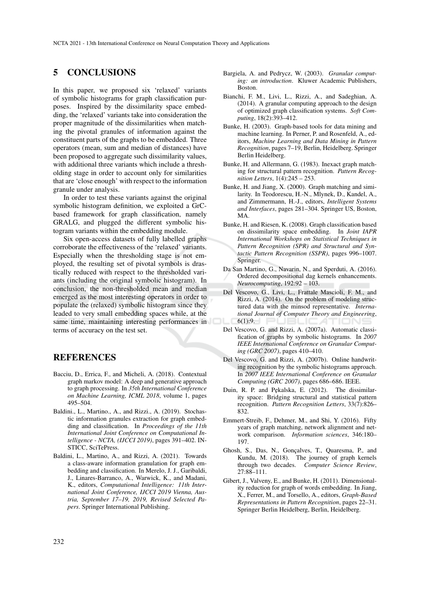## 5 CONCLUSIONS

In this paper, we proposed six 'relaxed' variants of symbolic histograms for graph classification purposes. Inspired by the dissimilarity space embedding, the 'relaxed' variants take into consideration the proper magnitude of the dissimilarities when matching the pivotal granules of information against the constituent parts of the graphs to be embedded. Three operators (mean, sum and median of distances) have been proposed to aggregate such dissimilarity values, with additional three variants which include a thresholding stage in order to account only for similarities that are 'close enough' with respect to the information granule under analysis.

In order to test these variants against the original symbolic histogram definition, we exploited a GrCbased framework for graph classification, namely GRALG, and plugged the different symbolic histogram variants within the embedding module.

Six open-access datasets of fully labelled graphs corroborate the effectiveness of the 'relaxed' variants. Especially when the thresholding stage is not employed, the resulting set of pivotal symbols is drastically reduced with respect to the thresholded variants (including the original symbolic histogram). In conclusion, the non-thresholded mean and median emerged as the most interesting operators in order to populate the (relaxed) symbolic histogram since they leaded to very small embedding spaces while, at the same time, maintaining interesting performances in terms of accuracy on the test set.

## REFERENCES

- Bacciu, D., Errica, F., and Micheli, A. (2018). Contextual graph markov model: A deep and generative approach to graph processing. In *35th International Conference on Machine Learning, ICML 2018*, volume 1, pages 495–504.
- Baldini., L., Martino., A., and Rizzi., A. (2019). Stochastic information granules extraction for graph embedding and classification. In *Proceedings of the 11th International Joint Conference on Computational Intelligence - NCTA, (IJCCI 2019)*, pages 391–402. IN-STICC, SciTePress.
- Baldini, L., Martino, A., and Rizzi, A. (2021). Towards a class-aware information granulation for graph embedding and classification. In Merelo, J. J., Garibaldi, J., Linares-Barranco, A., Warwick, K., and Madani, K., editors, *Computational Intelligence: 11th International Joint Conference, IJCCI 2019 Vienna, Austria, September 17–19, 2019, Revised Selected Papers*. Springer International Publishing.
- Bargiela, A. and Pedrycz, W. (2003). *Granular computing: an introduction*. Kluwer Academic Publishers, Boston.
- Bianchi, F. M., Livi, L., Rizzi, A., and Sadeghian, A. (2014). A granular computing approach to the design of optimized graph classification systems. *Soft Computing*, 18(2):393–412.
- Bunke, H. (2003). Graph-based tools for data mining and machine learning. In Perner, P. and Rosenfeld, A., editors, *Machine Learning and Data Mining in Pattern Recognition*, pages 7–19, Berlin, Heidelberg. Springer Berlin Heidelberg.
- Bunke, H. and Allermann, G. (1983). Inexact graph matching for structural pattern recognition. *Pattern Recognition Letters*, 1(4):245 – 253.
- Bunke, H. and Jiang, X. (2000). Graph matching and similarity. In Teodorescu, H.-N., Mlynek, D., Kandel, A., and Zimmermann, H.-J., editors, *Intelligent Systems and Interfaces*, pages 281–304. Springer US, Boston, MA.
- Bunke, H. and Riesen, K. (2008). Graph classification based on dissimilarity space embedding. In *Joint IAPR International Workshops on Statistical Techniques in Pattern Recognition (SPR) and Structural and Syntactic Pattern Recognition (SSPR)*, pages 996–1007. Springer.
- Da San Martino, G., Navarin, N., and Sperduti, A. (2016). Ordered decompositional dag kernels enhancements. *Neurocomputing*, 192:92 – 103.
- Del Vescovo, G., Livi, L., Frattale Mascioli, F. M., and Rizzi, A. (2014). On the problem of modeling structured data with the minsod representative. *International Journal of Computer Theory and Engineering*,  $6(1):9$ .
- Del Vescovo, G. and Rizzi, A. (2007a). Automatic classification of graphs by symbolic histograms. In *2007 IEEE International Conference on Granular Computing (GRC 2007)*, pages 410–410.
- Del Vescovo, G. and Rizzi, A. (2007b). Online handwriting recognition by the symbolic histograms approach. In *2007 IEEE International Conference on Granular Computing (GRC 2007)*, pages 686–686. IEEE.
- Duin, R. P. and Pękalska, E. (2012). The dissimilarity space: Bridging structural and statistical pattern recognition. *Pattern Recognition Letters*, 33(7):826– 832.
- Emmert-Streib, F., Dehmer, M., and Shi, Y. (2016). Fifty years of graph matching, network alignment and network comparison. *Information sciences*, 346:180– 197.
- Ghosh, S., Das, N., Gonçalves, T., Quaresma, P., and Kundu, M. (2018). The journey of graph kernels through two decades. *Computer Science Review*, 27:88–111.
- Gibert, J., Valveny, E., and Bunke, H. (2011). Dimensionality reduction for graph of words embedding. In Jiang, X., Ferrer, M., and Torsello, A., editors, *Graph-Based Representations in Pattern Recognition*, pages 22–31. Springer Berlin Heidelberg, Berlin, Heidelberg.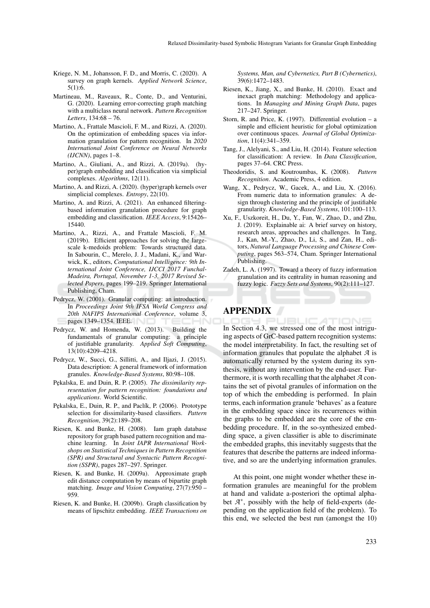- Kriege, N. M., Johansson, F. D., and Morris, C. (2020). A survey on graph kernels. *Applied Network Science*, 5(1):6.
- Martineau, M., Raveaux, R., Conte, D., and Venturini, G. (2020). Learning error-correcting graph matching with a multiclass neural network. *Pattern Recognition Letters*, 134:68 – 76.
- Martino, A., Frattale Mascioli, F. M., and Rizzi, A. (2020). On the optimization of embedding spaces via information granulation for pattern recognition. In *2020 International Joint Conference on Neural Networks (IJCNN)*, pages 1–8.
- Martino, A., Giuliani, A., and Rizzi, A. (2019a). (hyper)graph embedding and classification via simplicial complexes. *Algorithms*, 12(11).
- Martino, A. and Rizzi, A. (2020). (hyper)graph kernels over simplicial complexes. *Entropy*, 22(10).
- Martino, A. and Rizzi, A. (2021). An enhanced filteringbased information granulation procedure for graph embedding and classification. *IEEE Access*, 9:15426– 15440.
- Martino, A., Rizzi, A., and Frattale Mascioli, F. M. (2019b). Efficient approaches for solving the largescale k-medoids problem: Towards structured data. In Sabourin, C., Merelo, J. J., Madani, K., and Warwick, K., editors, *Computational Intelligence: 9th International Joint Conference, IJCCI 2017 Funchal-Madeira, Portugal, November 1-3, 2017 Revised Selected Papers*, pages 199–219. Springer International Publishing, Cham.
- Pedrycz, W. (2001). Granular computing: an introduction. In *Proceedings Joint 9th IFSA World Congress and 20th NAFIPS International Conference*, volume 3, pages 1349–1354. IEEE.
- Pedrycz, W. and Homenda, W. (2013). Building the fundamentals of granular computing: a principle of justifiable granularity. *Applied Soft Computing*, 13(10):4209–4218.
- Pedrycz, W., Succi, G., Sillitti, A., and Iljazi, J. (2015). Data description: A general framework of information granules. *Knowledge-Based Systems*, 80:98–108.
- Pękalska, E. and Duin, R. P. (2005). *The dissimilarity representation for pattern recognition: foundations and applications*. World Scientific.
- Pękalska, E., Duin, R. P., and Paclík, P. (2006). Prototype selection for dissimilarity-based classifiers. *Pattern Recognition*, 39(2):189–208.
- Riesen, K. and Bunke, H. (2008). Iam graph database repository for graph based pattern recognition and machine learning. In *Joint IAPR International Workshops on Statistical Techniques in Pattern Recognition (SPR) and Structural and Syntactic Pattern Recognition (SSPR)*, pages 287–297. Springer.
- Riesen, K. and Bunke, H. (2009a). Approximate graph edit distance computation by means of bipartite graph matching. *Image and Vision Computing*, 27(7):950 – 959.
- Riesen, K. and Bunke, H. (2009b). Graph classification by means of lipschitz embedding. *IEEE Transactions on*

*Systems, Man, and Cybernetics, Part B (Cybernetics)*, 39(6):1472–1483.

- Riesen, K., Jiang, X., and Bunke, H. (2010). Exact and inexact graph matching: Methodology and applications. In *Managing and Mining Graph Data*, pages 217–247. Springer.
- Storn, R. and Price, K. (1997). Differential evolution a simple and efficient heuristic for global optimization over continuous spaces. *Journal of Global Optimization*, 11(4):341–359.
- Tang, J., Alelyani, S., and Liu, H. (2014). Feature selection for classification: A review. In *Data Classification*, pages 37–64. CRC Press.
- Theodoridis, S. and Koutroumbas, K. (2008). *Pattern Recognition*. Academic Press, 4 edition.
- Wang, X., Pedrycz, W., Gacek, A., and Liu, X. (2016). From numeric data to information granules: A design through clustering and the principle of justifiable granularity. *Knowledge-Based Systems*, 101:100–113.
- Xu, F., Uszkoreit, H., Du, Y., Fan, W., Zhao, D., and Zhu, J. (2019). Explainable ai: A brief survey on history, research areas, approaches and challenges. In Tang, J., Kan, M.-Y., Zhao, D., Li, S., and Zan, H., editors, *Natural Language Processing and Chinese Computing*, pages 563–574, Cham. Springer International Publishing.
- Zadeh, L. A. (1997). Toward a theory of fuzzy information granulation and its centrality in human reasoning and fuzzy logic. *Fuzzy Sets and Systems*, 90(2):111–127.

## APPENDIX

 $\Box$ 'IONS т In Section 4.3, we stressed one of the most intriguing aspects of GrC-based pattern recognition systems: the model interpretability. In fact, the resulting set of information granules that populate the alphabet *A* is automatically returned by the system during its synthesis, without any intervention by the end-user. Furthermore, it is worth recalling that the alphabet *A* contains the set of pivotal granules of information on the top of which the embedding is performed. In plain terms, each information granule 'behaves' as a feature in the embedding space since its recurrences within the graphs to be embedded are the core of the embedding procedure. If, in the so-synthesized embedding space, a given classifier is able to discriminate the embedded graphs, this inevitably suggests that the features that describe the patterns are indeed informative, and so are the underlying information granules.

At this point, one might wonder whether these information granules are meaningful for the problem at hand and validate a-posteriori the optimal alphabet  $A^*$ , possibly with the help of field-experts (depending on the application field of the problem). To this end, we selected the best run (amongst the 10)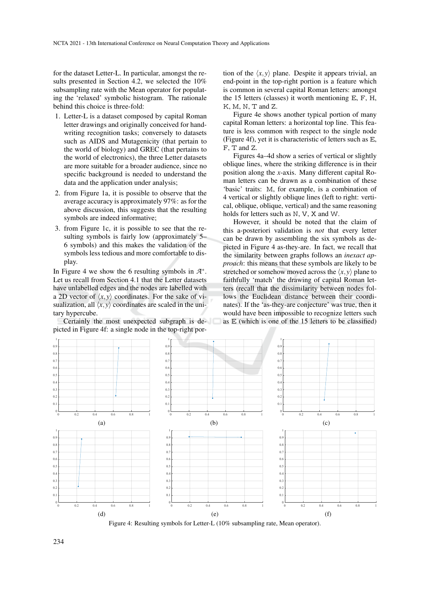for the dataset Letter-L. In particular, amongst the results presented in Section 4.2, we selected the 10% subsampling rate with the Mean operator for populating the 'relaxed' symbolic histogram. The rationale behind this choice is three-fold:

- 1. Letter-L is a dataset composed by capital Roman letter drawings and originally conceived for handwriting recognition tasks; conversely to datasets such as AIDS and Mutagenicity (that pertain to the world of biology) and GREC (that pertains to the world of electronics), the three Letter datasets are more suitable for a broader audience, since no specific background is needed to understand the data and the application under analysis;
- 2. from Figure 1a, it is possible to observe that the average accuracy is approximately 97%: as for the above discussion, this suggests that the resulting symbols are indeed informative;
- 3. from Figure 1c, it is possible to see that the resulting symbols is fairly low (approximately 5– 6 symbols) and this makes the validation of the symbols less tedious and more comfortable to display.

In Figure 4 we show the 6 resulting symbols in  $A^*$ . Let us recall from Section 4.1 that the Letter datasets have unlabelled edges and the nodes are labelled with a 2D vector of  $\langle x, y \rangle$  coordinates. For the sake of visualization, all  $\langle x, y \rangle$  coordinates are scaled in the unitary hypercube.

Certainly the most unexpected subgraph is depicted in Figure 4f: a single node in the top-right por-

tion of the  $\langle x, y \rangle$  plane. Despite it appears trivial, an end-point in the top-right portion is a feature which is common in several capital Roman letters: amongst the 15 letters (classes) it worth mentioning E, F, H, K, M, N, T and Z.

Figure 4e shows another typical portion of many capital Roman letters: a horizontal top line. This feature is less common with respect to the single node (Figure 4f), yet it is characteristic of letters such as E, F, T and Z.

Figures 4a–4d show a series of vertical or slightly oblique lines, where the striking difference is in their position along the *x*-axis. Many different capital Roman letters can be drawn as a combination of these 'basic' traits: M, for example, is a combination of 4 vertical or slightly oblique lines (left to right: vertical, oblique, oblique, vertical) and the same reasoning holds for letters such as N, V, X and W.

However, it should be noted that the claim of this a-posteriori validation is *not* that every letter can be drawn by assembling the six symbols as depicted in Figure 4 as-they-are. In fact, we recall that the similarity between graphs follows an *inexact approach*: this means that these symbols are likely to be stretched or somehow moved across the  $\langle x, y \rangle$  plane to faithfully 'match' the drawing of capital Roman letters (recall that the dissimilarity between nodes follows the Euclidean distance between their coordinates). If the 'as-they-are conjecture' was true, then it would have been impossible to recognize letters such as E (which is one of the 15 letters to be classified)



Figure 4: Resulting symbols for Letter-L (10% subsampling rate, Mean operator).